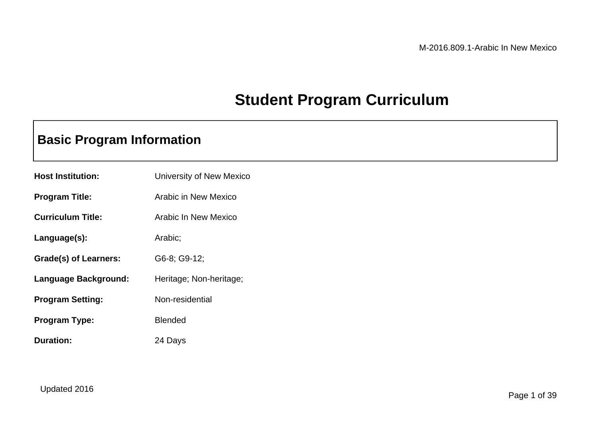# **Student Program Curriculum**

## **Basic Program Information**

| <b>Host Institution:</b> | University of New Mexico |
|--------------------------|--------------------------|
| <b>Program Title:</b>    | Arabic in New Mexico     |
| <b>Curriculum Title:</b> | Arabic In New Mexico     |
| Language(s):             | Arabic;                  |
| Grade(s) of Learners:    | G6-8; G9-12;             |
| Language Background:     | Heritage; Non-heritage;  |
| <b>Program Setting:</b>  | Non-residential          |
| Program Type:            | <b>Blended</b>           |
| Duration:                | 24 Days                  |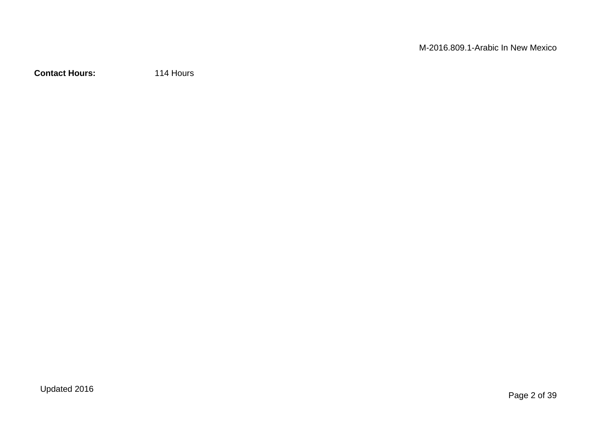**Contact Hours:** 114 Hours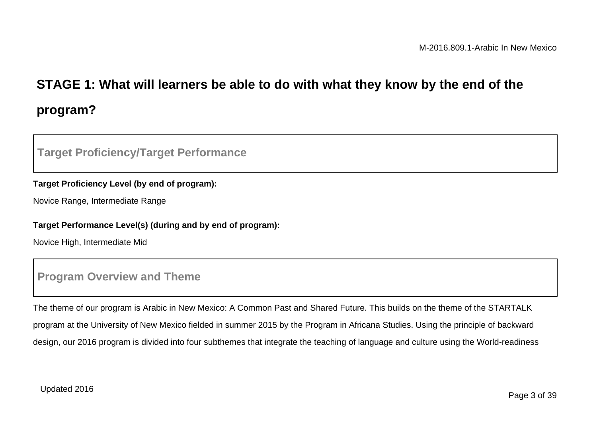# **STAGE 1: What will learners be able to do with what they know by the end of the program?**

### **Target Proficiency/Target Performance**

#### **Target Proficiency Level (by end of program):**

Novice Range, Intermediate Range

#### **Target Performance Level(s) (during and by end of program):**

Novice High, Intermediate Mid

### **Program Overview and Theme**

The theme of our program is Arabic in New Mexico: A Common Past and Shared Future. This builds on the theme of the STARTALK program at the University of New Mexico fielded in summer 2015 by the Program in Africana Studies. Using the principle of backward design, our 2016 program is divided into four subthemes that integrate the teaching of language and culture using the World-readiness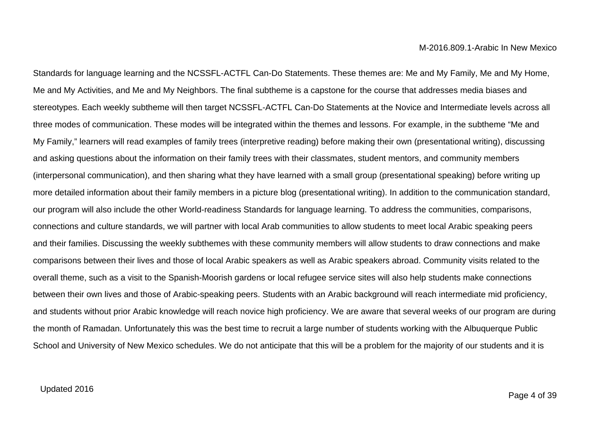Standards for language learning and the NCSSFL-ACTFL Can-Do Statements. These themes are: Me and My Family, Me and My Home, Me and My Activities, and Me and My Neighbors. The final subtheme is a capstone for the course that addresses media biases and stereotypes. Each weekly subtheme will then target NCSSFL-ACTFL Can-Do Statements at the Novice and Intermediate levels across all three modes of communication. These modes will be integrated within the themes and lessons. For example, in the subtheme "Me and My Family," learners will read examples of family trees (interpretive reading) before making their own (presentational writing), discussing and asking questions about the information on their family trees with their classmates, student mentors, and community members (interpersonal communication), and then sharing what they have learned with a small group (presentational speaking) before writing up more detailed information about their family members in a picture blog (presentational writing). In addition to the communication standard, our program will also include the other World-readiness Standards for language learning. To address the communities, comparisons, connections and culture standards, we will partner with local Arab communities to allow students to meet local Arabic speaking peers and their families. Discussing the weekly subthemes with these community members will allow students to draw connections and make comparisons between their lives and those of local Arabic speakers as well as Arabic speakers abroad. Community visits related to the overall theme, such as a visit to the Spanish-Moorish gardens or local refugee service sites will also help students make connections between their own lives and those of Arabic-speaking peers. Students with an Arabic background will reach intermediate mid proficiency, and students without prior Arabic knowledge will reach novice high proficiency. We are aware that several weeks of our program are during the month of Ramadan. Unfortunately this was the best time to recruit a large number of students working with the Albuquerque Public School and University of New Mexico schedules. We do not anticipate that this will be a problem for the majority of our students and it is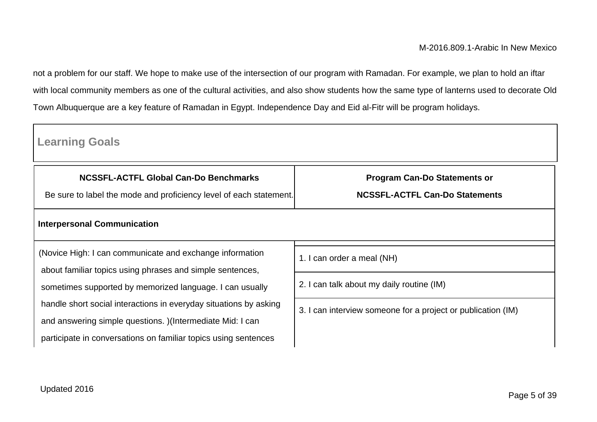not a problem for our staff. We hope to make use of the intersection of our program with Ramadan. For example, we plan to hold an iftar with local community members as one of the cultural activities, and also show students how the same type of lanterns used to decorate Old Town Albuquerque are a key feature of Ramadan in Egypt. Independence Day and Eid al-Fitr will be program holidays.

| <b>Learning Goals</b>                                                                                                         |                                                                              |
|-------------------------------------------------------------------------------------------------------------------------------|------------------------------------------------------------------------------|
| NCSSFL-ACTFL Global Can-Do Benchmarks<br>Be sure to label the mode and proficiency level of each statement.                   | <b>Program Can-Do Statements or</b><br><b>NCSSFL-ACTFL Can-Do Statements</b> |
| <b>Interpersonal Communication</b>                                                                                            |                                                                              |
| (Novice High: I can communicate and exchange information<br>about familiar topics using phrases and simple sentences,         | 1. I can order a meal (NH)                                                   |
| sometimes supported by memorized language. I can usually                                                                      | 2. I can talk about my daily routine (IM)                                    |
| handle short social interactions in everyday situations by asking                                                             | 3. I can interview someone for a project or publication (IM)                 |
| and answering simple questions. ) (Intermediate Mid: I can<br>participate in conversations on familiar topics using sentences |                                                                              |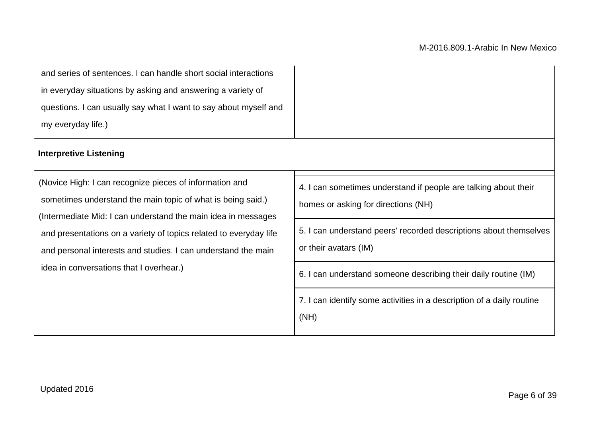| and series of sentences. I can handle short social interactions<br>in everyday situations by asking and answering a variety of<br>questions. I can usually say what I want to say about myself and<br>my everyday life.)<br><b>Interpretive Listening</b>                                                                                                                |                                                                                                                                                                                                                                                                                                                                                          |
|--------------------------------------------------------------------------------------------------------------------------------------------------------------------------------------------------------------------------------------------------------------------------------------------------------------------------------------------------------------------------|----------------------------------------------------------------------------------------------------------------------------------------------------------------------------------------------------------------------------------------------------------------------------------------------------------------------------------------------------------|
| (Novice High: I can recognize pieces of information and<br>sometimes understand the main topic of what is being said.)<br>(Intermediate Mid: I can understand the main idea in messages<br>and presentations on a variety of topics related to everyday life<br>and personal interests and studies. I can understand the main<br>idea in conversations that I overhear.) | 4. I can sometimes understand if people are talking about their<br>homes or asking for directions (NH)<br>5. I can understand peers' recorded descriptions about themselves<br>or their avatars (IM)<br>6. I can understand someone describing their daily routine (IM)<br>7. I can identify some activities in a description of a daily routine<br>(NH) |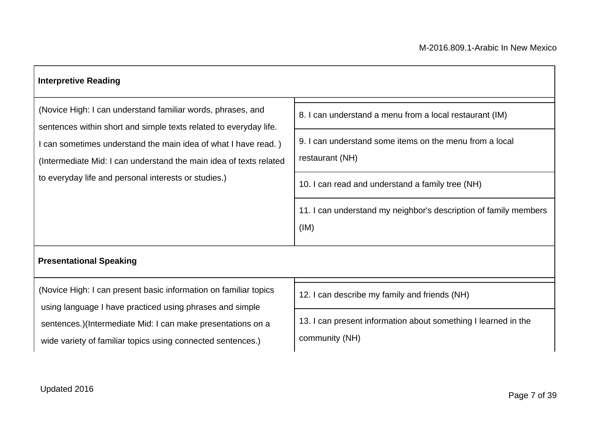| <b>Interpretive Reading</b>                                                                                                                                                                  |                                                                                  |  |  |
|----------------------------------------------------------------------------------------------------------------------------------------------------------------------------------------------|----------------------------------------------------------------------------------|--|--|
| (Novice High: I can understand familiar words, phrases, and<br>sentences within short and simple texts related to everyday life.                                                             | 8. I can understand a menu from a local restaurant (IM)                          |  |  |
| I can sometimes understand the main idea of what I have read.)<br>(Intermediate Mid: I can understand the main idea of texts related<br>to everyday life and personal interests or studies.) | 9. I can understand some items on the menu from a local<br>restaurant (NH)       |  |  |
|                                                                                                                                                                                              | 10. I can read and understand a family tree (NH)                                 |  |  |
|                                                                                                                                                                                              | 11. I can understand my neighbor's description of family members<br>(IM)         |  |  |
| <b>Presentational Speaking</b>                                                                                                                                                               |                                                                                  |  |  |
| (Novice High: I can present basic information on familiar topics<br>using language I have practiced using phrases and simple                                                                 | 12. I can describe my family and friends (NH)                                    |  |  |
| sentences.)(Intermediate Mid: I can make presentations on a<br>wide variety of familiar topics using connected sentences.)                                                                   | 13. I can present information about something I learned in the<br>community (NH) |  |  |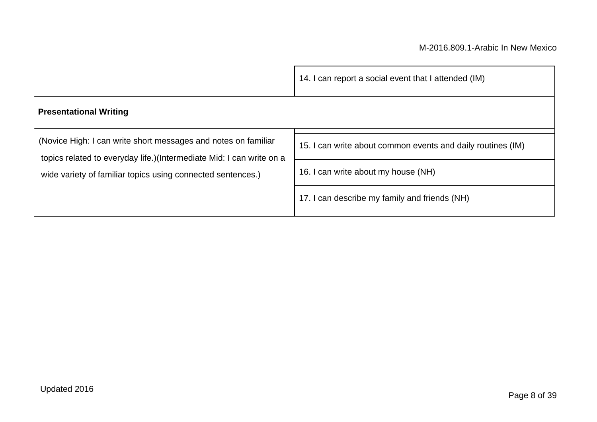|                                                                                                                                                                                                       | 14. I can report a social event that I attended (IM)        |
|-------------------------------------------------------------------------------------------------------------------------------------------------------------------------------------------------------|-------------------------------------------------------------|
| <b>Presentational Writing</b>                                                                                                                                                                         |                                                             |
| (Novice High: I can write short messages and notes on familiar<br>topics related to everyday life.)(Intermediate Mid: I can write on a<br>wide variety of familiar topics using connected sentences.) | 15. I can write about common events and daily routines (IM) |
|                                                                                                                                                                                                       | 16. I can write about my house (NH)                         |
|                                                                                                                                                                                                       | 17. I can describe my family and friends (NH)               |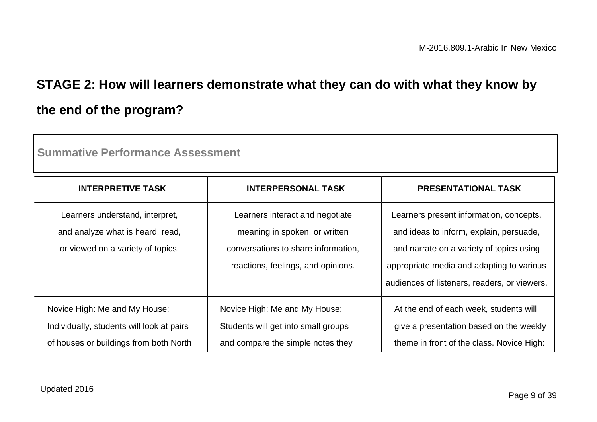# **STAGE 2: How will learners demonstrate what they can do with what they know by the end of the program?**

| o allinau voltoi luanoo <i>l</i> uoooonioni                                                                          |                                                                                                                                               |                                                                                                                                                                                                                             |  |
|----------------------------------------------------------------------------------------------------------------------|-----------------------------------------------------------------------------------------------------------------------------------------------|-----------------------------------------------------------------------------------------------------------------------------------------------------------------------------------------------------------------------------|--|
| <b>INTERPRETIVE TASK</b>                                                                                             | <b>INTERPERSONAL TASK</b>                                                                                                                     | <b>PRESENTATIONAL TASK</b>                                                                                                                                                                                                  |  |
| Learners understand, interpret,<br>and analyze what is heard, read,<br>or viewed on a variety of topics.             | Learners interact and negotiate<br>meaning in spoken, or written<br>conversations to share information,<br>reactions, feelings, and opinions. | Learners present information, concepts,<br>and ideas to inform, explain, persuade,<br>and narrate on a variety of topics using<br>appropriate media and adapting to various<br>audiences of listeners, readers, or viewers. |  |
| Novice High: Me and My House:<br>Individually, students will look at pairs<br>of houses or buildings from both North | Novice High: Me and My House:<br>Students will get into small groups<br>and compare the simple notes they                                     | At the end of each week, students will<br>give a presentation based on the weekly<br>theme in front of the class. Novice High:                                                                                              |  |

**Summative Performance Assessment**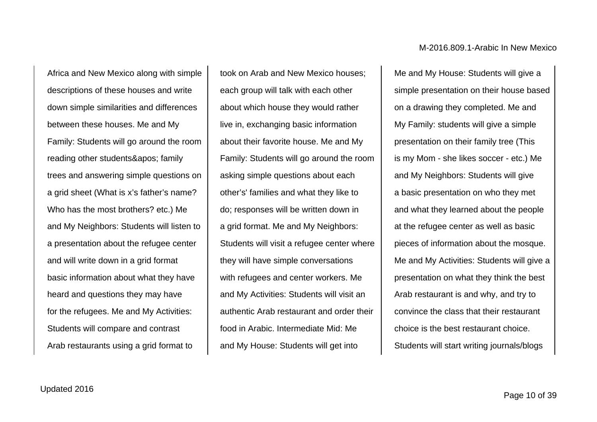Africa and New Mexico along with simple descriptions of these houses and write down simple similarities and differences between these houses. Me and My Family: Students will go around the room reading other students' family trees and answering simple questions on a grid sheet (What is x's father's name? Who has the most brothers? etc.) Me and My Neighbors: Students will listen to a presentation about the refugee center and will write down in a grid format basic information about what they have heard and questions they may have for the refugees. Me and My Activities: Students will compare and contrast Arab restaurants using a grid format to

took on Arab and New Mexico houses; each group will talk with each other about which house they would rather live in, exchanging basic information about their favorite house. Me and My Family: Students will go around the room asking simple questions about each other's' families and what they like to do; responses will be written down in a grid format. Me and My Neighbors: Students will visit a refugee center where they will have simple conversations with refugees and center workers. Me and My Activities: Students will visit an authentic Arab restaurant and order their food in Arabic. Intermediate Mid: Me and My House: Students will get into

Me and My House: Students will give a simple presentation on their house based on a drawing they completed. Me and My Family: students will give a simple presentation on their family tree (This is my Mom - she likes soccer - etc.) Me and My Neighbors: Students will give a basic presentation on who they met and what they learned about the people at the refugee center as well as basic pieces of information about the mosque. Me and My Activities: Students will give a presentation on what they think the best Arab restaurant is and why, and try to convince the class that their restaurant choice is the best restaurant choice. Students will start writing journals/blogs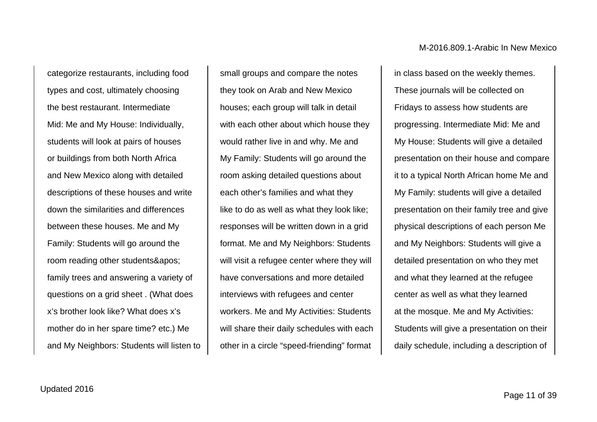categorize restaurants, including food types and cost, ultimately choosing the best restaurant. Intermediate Mid: Me and My House: Individually, students will look at pairs of houses or buildings from both North Africa and New Mexico along with detailed descriptions of these houses and write down the similarities and differences between these houses. Me and My Family: Students will go around the room reading other students&apos: family trees and answering a variety of questions on a grid sheet . (What does x's brother look like? What does x's mother do in her spare time? etc.) Me and My Neighbors: Students will listen to

small groups and compare the notes they took on Arab and New Mexico houses; each group will talk in detail with each other about which house they would rather live in and why. Me and My Family: Students will go around the room asking detailed questions about each other's families and what they like to do as well as what they look like; responses will be written down in a grid format. Me and My Neighbors: Students will visit a refugee center where they will have conversations and more detailed interviews with refugees and center workers. Me and My Activities: Students will share their daily schedules with each other in a circle "speed-friending" format

in class based on the weekly themes. These journals will be collected on Fridays to assess how students are progressing. Intermediate Mid: Me and My House: Students will give a detailed presentation on their house and compare it to a typical North African home Me and My Family: students will give a detailed presentation on their family tree and give physical descriptions of each person Me and My Neighbors: Students will give a detailed presentation on who they met and what they learned at the refugee center as well as what they learned at the mosque. Me and My Activities: Students will give a presentation on their daily schedule, including a description of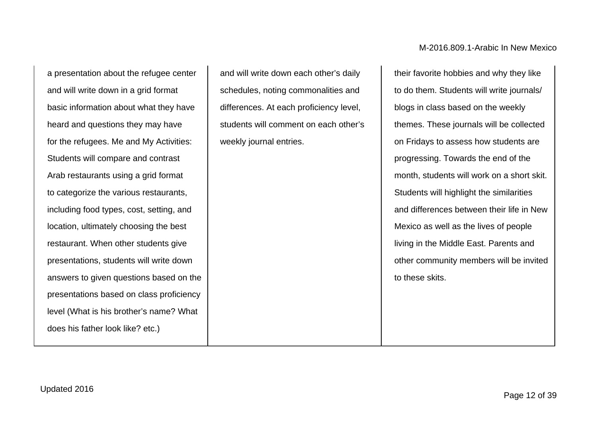a presentation about the refugee center and will write down in a grid format basic information about what they have heard and questions they may have for the refugees. Me and My Activities: Students will compare and contrast Arab restaurants using a grid format to categorize the various restaurants, including food types, cost, setting, and location, ultimately choosing the best restaurant. When other students give presentations, students will write down answers to given questions based on the presentations based on class proficiency level (What is his brother's name? What does his father look like? etc.)

and will write down each other's daily schedules, noting commonalities and differences. At each proficiency level, students will comment on each other's weekly journal entries.

their favorite hobbies and why they like to do them. Students will write journals/ blogs in class based on the weekly themes. These journals will be collected on Fridays to assess how students are progressing. Towards the end of the month, students will work on a short skit. Students will highlight the similarities and differences between their life in New Mexico as well as the lives of people living in the Middle East. Parents and other community members will be invited to these skits.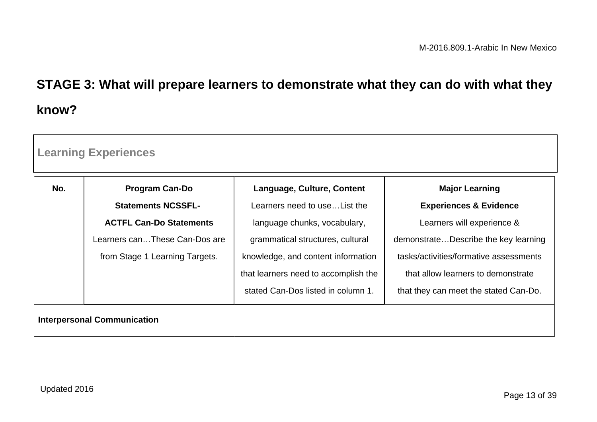# **STAGE 3: What will prepare learners to demonstrate what they can do with what they know?**

| <b>Learning Experiences</b>        |                                |                                      |                                        |
|------------------------------------|--------------------------------|--------------------------------------|----------------------------------------|
| No.                                | <b>Program Can-Do</b>          | Language, Culture, Content           | <b>Major Learning</b>                  |
|                                    | <b>Statements NCSSFL-</b>      | Learners need to use List the        | <b>Experiences &amp; Evidence</b>      |
|                                    | <b>ACTFL Can-Do Statements</b> | language chunks, vocabulary,         | Learners will experience &             |
|                                    | Learners canThese Can-Dos are  | grammatical structures, cultural     | demonstrateDescribe the key learning   |
|                                    | from Stage 1 Learning Targets. | knowledge, and content information   | tasks/activities/formative assessments |
|                                    |                                | that learners need to accomplish the | that allow learners to demonstrate     |
|                                    |                                | stated Can-Dos listed in column 1.   | that they can meet the stated Can-Do.  |
| <b>Interpersonal Communication</b> |                                |                                      |                                        |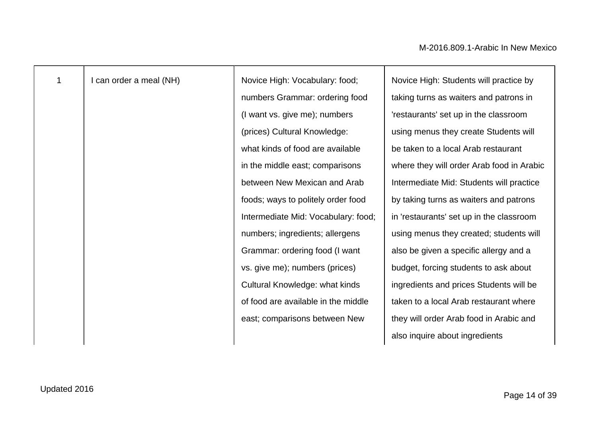| 1 | I can order a meal (NH) | Novice High: Vocabulary: food;      | Novice High: Students will practice by    |
|---|-------------------------|-------------------------------------|-------------------------------------------|
|   |                         | numbers Grammar: ordering food      | taking turns as waiters and patrons in    |
|   |                         | (I want vs. give me); numbers       | 'restaurants' set up in the classroom     |
|   |                         | (prices) Cultural Knowledge:        | using menus they create Students will     |
|   |                         | what kinds of food are available    | be taken to a local Arab restaurant       |
|   |                         | in the middle east; comparisons     | where they will order Arab food in Arabic |
|   |                         | between New Mexican and Arab        | Intermediate Mid: Students will practice  |
|   |                         | foods; ways to politely order food  | by taking turns as waiters and patrons    |
|   |                         | Intermediate Mid: Vocabulary: food; | in 'restaurants' set up in the classroom  |
|   |                         | numbers; ingredients; allergens     | using menus they created; students will   |
|   |                         | Grammar: ordering food (I want      | also be given a specific allergy and a    |
|   |                         | vs. give me); numbers (prices)      | budget, forcing students to ask about     |
|   |                         | Cultural Knowledge: what kinds      | ingredients and prices Students will be   |
|   |                         | of food are available in the middle | taken to a local Arab restaurant where    |
|   |                         | east; comparisons between New       | they will order Arab food in Arabic and   |
|   |                         |                                     | also inquire about ingredients            |
|   |                         |                                     |                                           |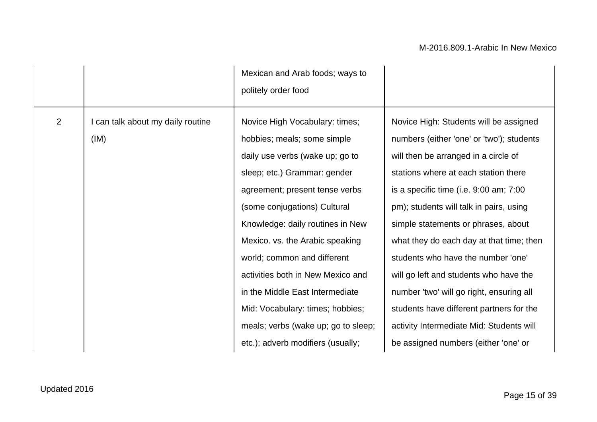|                |                                         | Mexican and Arab foods; ways to<br>politely order food                                                                                                                                                                                                                                                                                                                                                                                                      |                                                                                                                                                                                                                                                                                                                                                                                                                                                                                                                                                                 |
|----------------|-----------------------------------------|-------------------------------------------------------------------------------------------------------------------------------------------------------------------------------------------------------------------------------------------------------------------------------------------------------------------------------------------------------------------------------------------------------------------------------------------------------------|-----------------------------------------------------------------------------------------------------------------------------------------------------------------------------------------------------------------------------------------------------------------------------------------------------------------------------------------------------------------------------------------------------------------------------------------------------------------------------------------------------------------------------------------------------------------|
| $\overline{2}$ | can talk about my daily routine<br>(IM) | Novice High Vocabulary: times;<br>hobbies; meals; some simple<br>daily use verbs (wake up; go to<br>sleep; etc.) Grammar: gender<br>agreement; present tense verbs<br>(some conjugations) Cultural<br>Knowledge: daily routines in New<br>Mexico. vs. the Arabic speaking<br>world; common and different<br>activities both in New Mexico and<br>in the Middle East Intermediate<br>Mid: Vocabulary: times; hobbies;<br>meals; verbs (wake up; go to sleep; | Novice High: Students will be assigned<br>numbers (either 'one' or 'two'); students<br>will then be arranged in a circle of<br>stations where at each station there<br>is a specific time (i.e. 9:00 am; 7:00<br>pm); students will talk in pairs, using<br>simple statements or phrases, about<br>what they do each day at that time; then<br>students who have the number 'one'<br>will go left and students who have the<br>number 'two' will go right, ensuring all<br>students have different partners for the<br>activity Intermediate Mid: Students will |
|                |                                         | etc.); adverb modifiers (usually;                                                                                                                                                                                                                                                                                                                                                                                                                           | be assigned numbers (either 'one' or                                                                                                                                                                                                                                                                                                                                                                                                                                                                                                                            |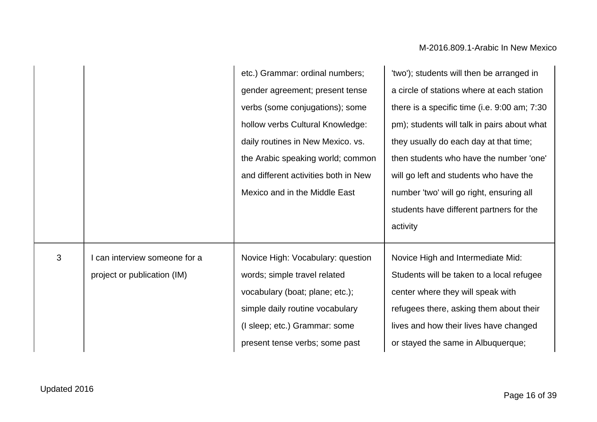|   |                             | etc.) Grammar: ordinal numbers;      | 'two'); students will then be arranged in    |
|---|-----------------------------|--------------------------------------|----------------------------------------------|
|   |                             | gender agreement; present tense      | a circle of stations where at each station   |
|   |                             | verbs (some conjugations); some      | there is a specific time (i.e. 9:00 am; 7:30 |
|   |                             | hollow verbs Cultural Knowledge:     | pm); students will talk in pairs about what  |
|   |                             | daily routines in New Mexico. vs.    | they usually do each day at that time;       |
|   |                             | the Arabic speaking world; common    | then students who have the number 'one'      |
|   |                             | and different activities both in New | will go left and students who have the       |
|   |                             | Mexico and in the Middle East        | number 'two' will go right, ensuring all     |
|   |                             |                                      | students have different partners for the     |
|   |                             |                                      | activity                                     |
| 3 | can interview someone for a | Novice High: Vocabulary: question    | Novice High and Intermediate Mid:            |
|   | project or publication (IM) | words; simple travel related         | Students will be taken to a local refugee    |
|   |                             | vocabulary (boat; plane; etc.);      | center where they will speak with            |
|   |                             | simple daily routine vocabulary      | refugees there, asking them about their      |
|   |                             | (I sleep; etc.) Grammar: some        | lives and how their lives have changed       |
|   |                             | present tense verbs; some past       | or stayed the same in Albuquerque;           |
|   |                             |                                      |                                              |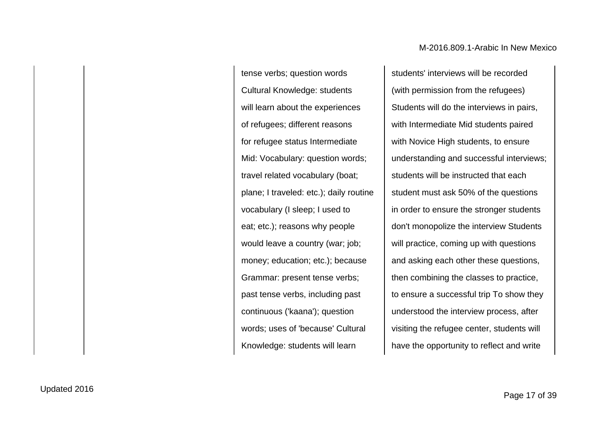tense verbs; question words Cultural Knowledge: students will learn about the experiences of refugees; different reasons for refugee status Intermediate Mid: Vocabulary: question words; travel related vocabulary (boat; plane; I traveled: etc.); daily routine vocabulary (I sleep; I used to eat; etc.); reasons why people would leave a country (war; job; money; education; etc.); because Grammar: present tense verbs; past tense verbs, including past continuous ('kaana'); question words; uses of 'because' Cultural Knowledge: students will learn

students' interviews will be recorded (with permission from the refugees) Students will do the interviews in pairs, with Intermediate Mid students paired with Novice High students, to ensure understanding and successful interviews; students will be instructed that each student must ask 50% of the questions in order to ensure the stronger students don't monopolize the interview Students will practice, coming up with questions and asking each other these questions, then combining the classes to practice, to ensure a successful trip To show they understood the interview process, after visiting the refugee center, students will have the opportunity to reflect and write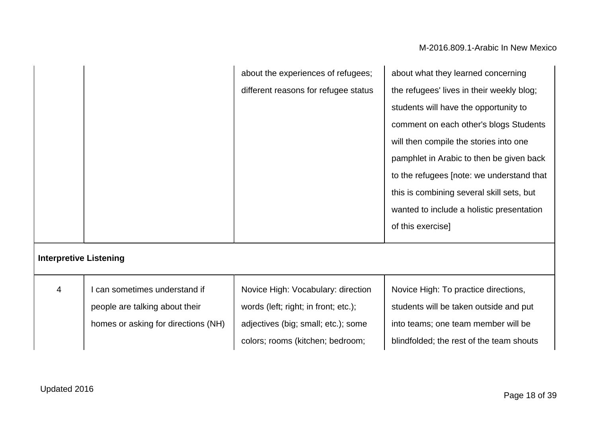|                               |                                     | about the experiences of refugees;   | about what they learned concerning        |
|-------------------------------|-------------------------------------|--------------------------------------|-------------------------------------------|
|                               |                                     | different reasons for refugee status | the refugees' lives in their weekly blog; |
|                               |                                     |                                      | students will have the opportunity to     |
|                               |                                     |                                      | comment on each other's blogs Students    |
|                               |                                     |                                      | will then compile the stories into one    |
|                               |                                     |                                      | pamphlet in Arabic to then be given back  |
|                               |                                     |                                      | to the refugees [note: we understand that |
|                               |                                     |                                      | this is combining several skill sets, but |
|                               |                                     |                                      | wanted to include a holistic presentation |
|                               |                                     |                                      | of this exercise]                         |
| <b>Interpretive Listening</b> |                                     |                                      |                                           |
| 4                             | can sometimes understand if         | Novice High: Vocabulary: direction   | Novice High: To practice directions,      |
|                               | people are talking about their      | words (left; right; in front; etc.); | students will be taken outside and put    |
|                               | homes or asking for directions (NH) | adjectives (big; small; etc.); some  | into teams; one team member will be       |
|                               |                                     | colors; rooms (kitchen; bedroom;     | blindfolded; the rest of the team shouts  |
|                               |                                     |                                      |                                           |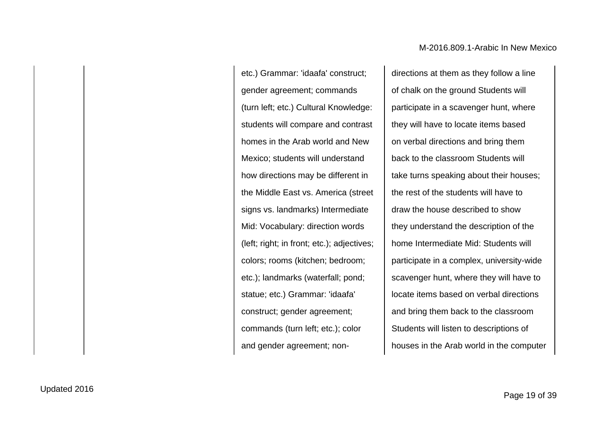etc.) Grammar: 'idaafa' construct; gender agreement; commands (turn left; etc.) Cultural Knowledge: students will compare and contrast homes in the Arab world and New Mexico; students will understand how directions may be different in the Middle East vs. America (street signs vs. landmarks) Intermediate Mid: Vocabulary: direction words (left; right; in front; etc.); adjectives; colors; rooms (kitchen; bedroom; etc.); landmarks (waterfall; pond; statue; etc.) Grammar: 'idaafa' construct; gender agreement; commands (turn left; etc.); color and gender agreement; non-

directions at them as they follow a line of chalk on the ground Students will participate in a scavenger hunt, where they will have to locate items based on verbal directions and bring them back to the classroom Students will take turns speaking about their houses; the rest of the students will have to draw the house described to show they understand the description of the home Intermediate Mid: Students will participate in a complex, university-wide scavenger hunt, where they will have to locate items based on verbal directions and bring them back to the classroom Students will listen to descriptions of houses in the Arab world in the computer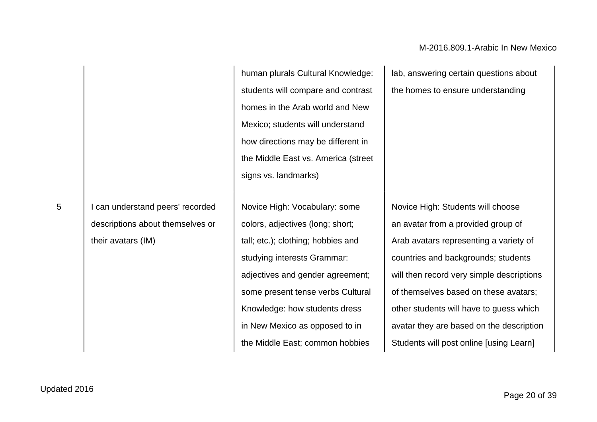|                |                                                                                            | human plurals Cultural Knowledge:<br>students will compare and contrast<br>homes in the Arab world and New<br>Mexico; students will understand<br>how directions may be different in<br>the Middle East vs. America (street<br>signs vs. landmarks)                                                                   | lab, answering certain questions about<br>the homes to ensure understanding                                                                                                                                                                                                                                                                                                      |
|----------------|--------------------------------------------------------------------------------------------|-----------------------------------------------------------------------------------------------------------------------------------------------------------------------------------------------------------------------------------------------------------------------------------------------------------------------|----------------------------------------------------------------------------------------------------------------------------------------------------------------------------------------------------------------------------------------------------------------------------------------------------------------------------------------------------------------------------------|
| $5\phantom{.}$ | I can understand peers' recorded<br>descriptions about themselves or<br>their avatars (IM) | Novice High: Vocabulary: some<br>colors, adjectives (long; short;<br>tall; etc.); clothing; hobbies and<br>studying interests Grammar:<br>adjectives and gender agreement;<br>some present tense verbs Cultural<br>Knowledge: how students dress<br>in New Mexico as opposed to in<br>the Middle East; common hobbies | Novice High: Students will choose<br>an avatar from a provided group of<br>Arab avatars representing a variety of<br>countries and backgrounds; students<br>will then record very simple descriptions<br>of themselves based on these avatars;<br>other students will have to guess which<br>avatar they are based on the description<br>Students will post online [using Learn] |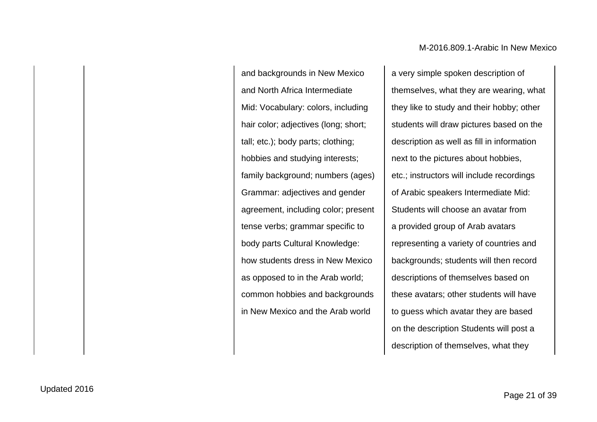and backgrounds in New Mexico and North Africa Intermediate Mid: Vocabulary: colors, including hair color; adjectives (long; short; tall; etc.); body parts; clothing; hobbies and studying interests; family background; numbers (ages) Grammar: adjectives and gender agreement, including color; present tense verbs; grammar specific to body parts Cultural Knowledge: how students dress in New Mexico as opposed to in the Arab world; common hobbies and backgrounds in New Mexico and the Arab world

a very simple spoken description of themselves, what they are wearing, what they like to study and their hobby; other students will draw pictures based on the description as well as fill in information next to the pictures about hobbies, etc.; instructors will include recordings of Arabic speakers Intermediate Mid: Students will choose an avatar from a provided group of Arab avatars representing a variety of countries and backgrounds; students will then record descriptions of themselves based on these avatars; other students will have to guess which avatar they are based on the description Students will post a description of themselves, what they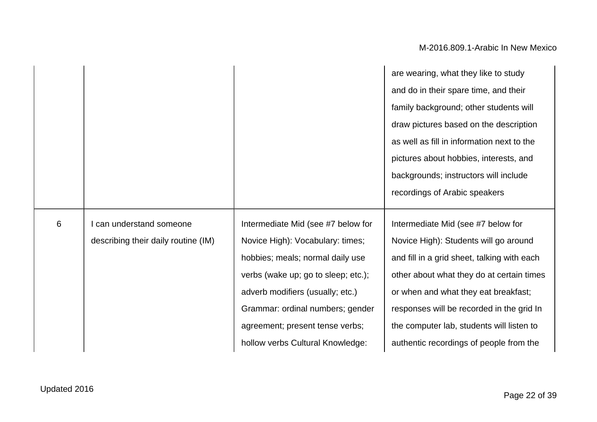|   |                                     |                                     | are wearing, what they like to study        |
|---|-------------------------------------|-------------------------------------|---------------------------------------------|
|   |                                     |                                     | and do in their spare time, and their       |
|   |                                     |                                     | family background; other students will      |
|   |                                     |                                     | draw pictures based on the description      |
|   |                                     |                                     | as well as fill in information next to the  |
|   |                                     |                                     | pictures about hobbies, interests, and      |
|   |                                     |                                     | backgrounds; instructors will include       |
|   |                                     |                                     | recordings of Arabic speakers               |
|   |                                     |                                     |                                             |
| 6 | I can understand someone            | Intermediate Mid (see #7 below for  | Intermediate Mid (see #7 below for          |
|   | describing their daily routine (IM) | Novice High): Vocabulary: times;    | Novice High): Students will go around       |
|   |                                     | hobbies; meals; normal daily use    | and fill in a grid sheet, talking with each |
|   |                                     | verbs (wake up; go to sleep; etc.); | other about what they do at certain times   |
|   |                                     | adverb modifiers (usually; etc.)    | or when and what they eat breakfast;        |
|   |                                     | Grammar: ordinal numbers; gender    | responses will be recorded in the grid In   |
|   |                                     | agreement; present tense verbs;     | the computer lab, students will listen to   |
|   |                                     | hollow verbs Cultural Knowledge:    | authentic recordings of people from the     |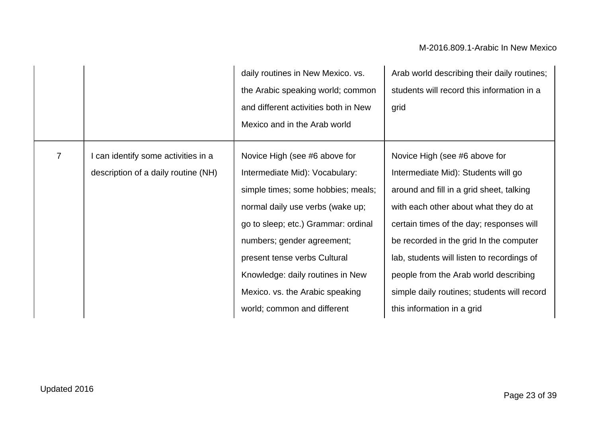|                |                                                                            | daily routines in New Mexico. vs.<br>the Arabic speaking world; common<br>and different activities both in New<br>Mexico and in the Arab world                                                                                                                                                                                                       | Arab world describing their daily routines;<br>students will record this information in a<br>grid                                                                                                                                                                                                                                                                                                                    |
|----------------|----------------------------------------------------------------------------|------------------------------------------------------------------------------------------------------------------------------------------------------------------------------------------------------------------------------------------------------------------------------------------------------------------------------------------------------|----------------------------------------------------------------------------------------------------------------------------------------------------------------------------------------------------------------------------------------------------------------------------------------------------------------------------------------------------------------------------------------------------------------------|
| $\overline{7}$ | I can identify some activities in a<br>description of a daily routine (NH) | Novice High (see #6 above for<br>Intermediate Mid): Vocabulary:<br>simple times; some hobbies; meals;<br>normal daily use verbs (wake up;<br>go to sleep; etc.) Grammar: ordinal<br>numbers; gender agreement;<br>present tense verbs Cultural<br>Knowledge: daily routines in New<br>Mexico. vs. the Arabic speaking<br>world; common and different | Novice High (see #6 above for<br>Intermediate Mid): Students will go<br>around and fill in a grid sheet, talking<br>with each other about what they do at<br>certain times of the day; responses will<br>be recorded in the grid In the computer<br>lab, students will listen to recordings of<br>people from the Arab world describing<br>simple daily routines; students will record<br>this information in a grid |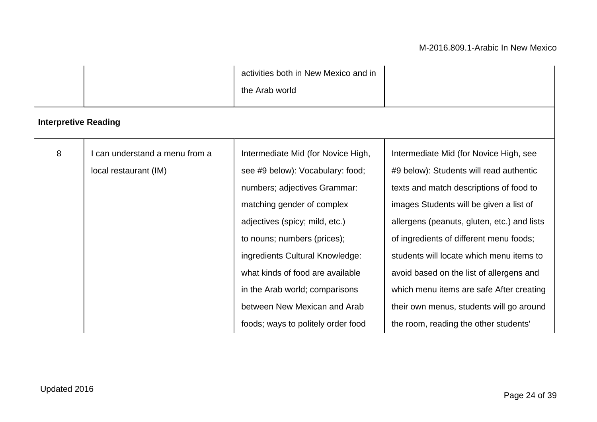|                             |                              | activities both in New Mexico and in<br>the Arab world |                                             |
|-----------------------------|------------------------------|--------------------------------------------------------|---------------------------------------------|
| <b>Interpretive Reading</b> |                              |                                                        |                                             |
| 8                           | can understand a menu from a | Intermediate Mid (for Novice High,                     | Intermediate Mid (for Novice High, see      |
|                             | local restaurant (IM)        | see #9 below): Vocabulary: food;                       | #9 below): Students will read authentic     |
|                             |                              | numbers; adjectives Grammar:                           | texts and match descriptions of food to     |
|                             |                              | matching gender of complex                             | images Students will be given a list of     |
|                             |                              | adjectives (spicy; mild, etc.)                         | allergens (peanuts, gluten, etc.) and lists |
|                             |                              | to nouns; numbers (prices);                            | of ingredients of different menu foods;     |
|                             |                              | ingredients Cultural Knowledge:                        | students will locate which menu items to    |
|                             |                              | what kinds of food are available                       | avoid based on the list of allergens and    |
|                             |                              | in the Arab world; comparisons                         | which menu items are safe After creating    |
|                             |                              | between New Mexican and Arab                           | their own menus, students will go around    |
|                             |                              | foods; ways to politely order food                     | the room, reading the other students'       |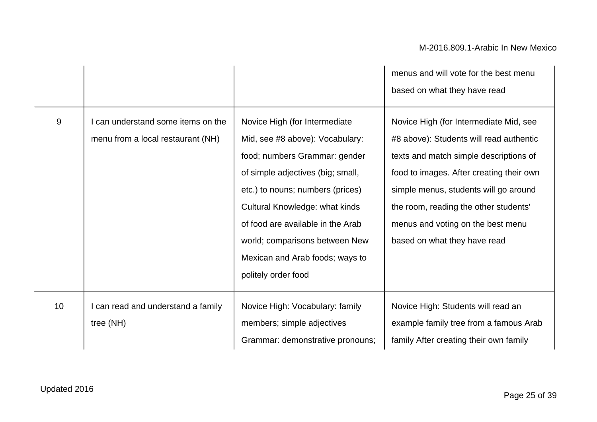|    |                                                                       |                                                                                                                                                                                                                                                                                                                                                       | menus and will vote for the best menu<br>based on what they have read                                                                                                                                                                                                                                                          |
|----|-----------------------------------------------------------------------|-------------------------------------------------------------------------------------------------------------------------------------------------------------------------------------------------------------------------------------------------------------------------------------------------------------------------------------------------------|--------------------------------------------------------------------------------------------------------------------------------------------------------------------------------------------------------------------------------------------------------------------------------------------------------------------------------|
| 9  | can understand some items on the<br>menu from a local restaurant (NH) | Novice High (for Intermediate)<br>Mid, see #8 above): Vocabulary:<br>food; numbers Grammar: gender<br>of simple adjectives (big; small,<br>etc.) to nouns; numbers (prices)<br><b>Cultural Knowledge: what kinds</b><br>of food are available in the Arab<br>world; comparisons between New<br>Mexican and Arab foods; ways to<br>politely order food | Novice High (for Intermediate Mid, see<br>#8 above): Students will read authentic<br>texts and match simple descriptions of<br>food to images. After creating their own<br>simple menus, students will go around<br>the room, reading the other students'<br>menus and voting on the best menu<br>based on what they have read |
| 10 | I can read and understand a family<br>tree $(NH)$                     | Novice High: Vocabulary: family<br>members; simple adjectives<br>Grammar: demonstrative pronouns;                                                                                                                                                                                                                                                     | Novice High: Students will read an<br>example family tree from a famous Arab<br>family After creating their own family                                                                                                                                                                                                         |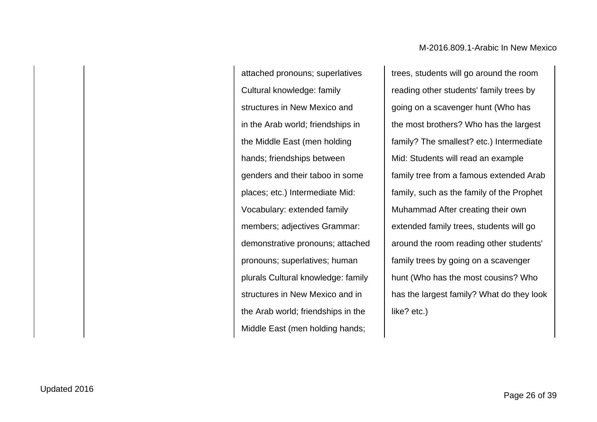attached pronouns; superlatives Cultural knowledge: family structures in New Mexico and in the Arab world; friendships in the Middle East (men holding hands; friendships between genders and their taboo in some places; etc.) Intermediate Mid: Vocabulary: extended family members; adjectives Grammar: demonstrative pronouns; attached pronouns; superlatives; human plurals Cultural knowledge: family structures in New Mexico and in the Arab world; friendships in the Middle East (men holding hands;

trees, students will go around the room reading other students' family trees by going on a scavenger hunt (Who has the most brothers? Who has the largest family? The smallest? etc.) Intermediate Mid: Students will read an example family tree from a famous extended Arab family, such as the family of the Prophet Muhammad After creating their own extended family trees, students will go around the room reading other students' family trees by going on a scavenger hunt (Who has the most cousins? Who has the largest family? What do they look like? etc.)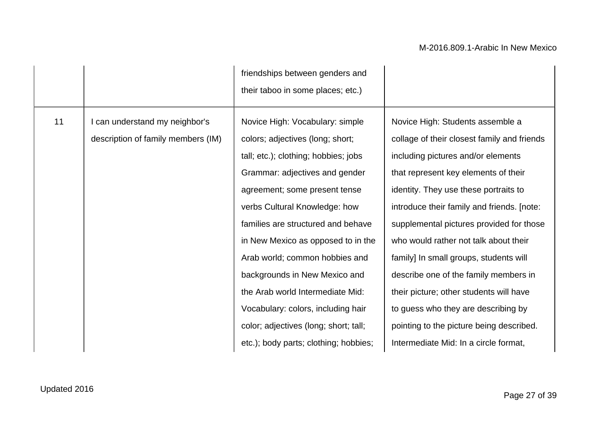|    |                                    | friendships between genders and<br>their taboo in some places; etc.) |                                             |
|----|------------------------------------|----------------------------------------------------------------------|---------------------------------------------|
|    |                                    |                                                                      |                                             |
| 11 | I can understand my neighbor's     | Novice High: Vocabulary: simple                                      | Novice High: Students assemble a            |
|    | description of family members (IM) | colors; adjectives (long; short;                                     | collage of their closest family and friends |
|    |                                    | tall; etc.); clothing; hobbies; jobs                                 | including pictures and/or elements          |
|    |                                    | Grammar: adjectives and gender                                       | that represent key elements of their        |
|    |                                    | agreement; some present tense                                        | identity. They use these portraits to       |
|    |                                    | verbs Cultural Knowledge: how                                        | introduce their family and friends. [note:  |
|    |                                    | families are structured and behave                                   | supplemental pictures provided for those    |
|    |                                    | in New Mexico as opposed to in the                                   | who would rather not talk about their       |
|    |                                    | Arab world; common hobbies and                                       | family] In small groups, students will      |
|    |                                    | backgrounds in New Mexico and                                        | describe one of the family members in       |
|    |                                    | the Arab world Intermediate Mid:                                     | their picture; other students will have     |
|    |                                    | Vocabulary: colors, including hair                                   | to guess who they are describing by         |
|    |                                    | color; adjectives (long; short; tall;                                | pointing to the picture being described.    |
|    |                                    | etc.); body parts; clothing; hobbies;                                | Intermediate Mid: In a circle format,       |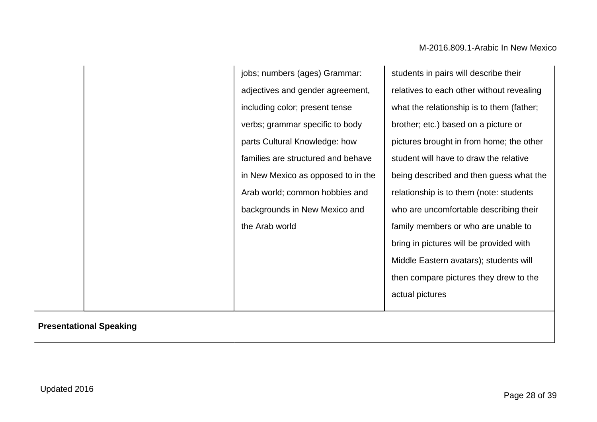jobs; numbers (ages) Grammar: adjectives and gender agreement, including color; present tense verbs; grammar specific to body parts Cultural Knowledge: how families are structured and behave in New Mexico as opposed to in the Arab world; common hobbies and backgrounds in New Mexico and the Arab world

students in pairs will describe their relatives to each other without revealing what the relationship is to them (father; brother; etc.) based on a picture or pictures brought in from home; the other student will have to draw the relative being described and then guess what the relationship is to them (note: students who are uncomfortable describing their family members or who are unable to bring in pictures will be provided with Middle Eastern avatars); students will then compare pictures they drew to the actual pictures

#### **Presentational Speaking**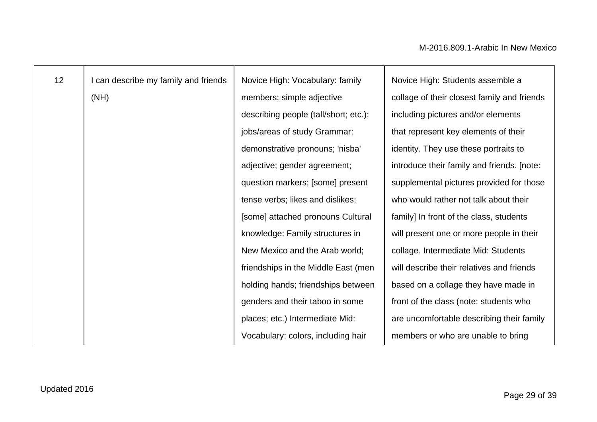| 12 <sub>2</sub> | I can describe my family and friends | Novice High: Vocabulary: family       | Novice High: Students assemble a            |
|-----------------|--------------------------------------|---------------------------------------|---------------------------------------------|
|                 | (NH)                                 | members; simple adjective             | collage of their closest family and friends |
|                 |                                      | describing people (tall/short; etc.); | including pictures and/or elements          |
|                 |                                      | jobs/areas of study Grammar:          | that represent key elements of their        |
|                 |                                      | demonstrative pronouns; 'nisba'       | identity. They use these portraits to       |
|                 |                                      | adjective; gender agreement;          | introduce their family and friends. [note:  |
|                 |                                      | question markers; [some] present      | supplemental pictures provided for those    |
|                 |                                      | tense verbs; likes and dislikes;      | who would rather not talk about their       |
|                 |                                      | [some] attached pronouns Cultural     | family] In front of the class, students     |
|                 |                                      | knowledge: Family structures in       | will present one or more people in their    |
|                 |                                      | New Mexico and the Arab world;        | collage. Intermediate Mid: Students         |
|                 |                                      | friendships in the Middle East (men   | will describe their relatives and friends   |
|                 |                                      | holding hands; friendships between    | based on a collage they have made in        |
|                 |                                      | genders and their taboo in some       | front of the class (note: students who      |
|                 |                                      | places; etc.) Intermediate Mid:       | are uncomfortable describing their family   |
|                 |                                      | Vocabulary: colors, including hair    | members or who are unable to bring          |
|                 |                                      |                                       |                                             |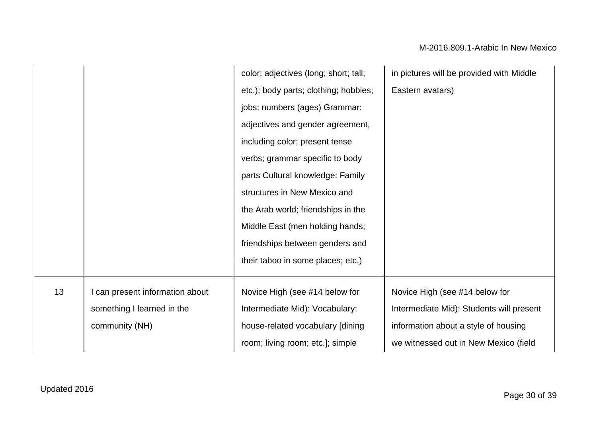|    |                               | color; adjectives (long; short; tall; | in pictures will be provided with Middle |
|----|-------------------------------|---------------------------------------|------------------------------------------|
|    |                               | etc.); body parts; clothing; hobbies; | Eastern avatars)                         |
|    |                               | jobs; numbers (ages) Grammar:         |                                          |
|    |                               | adjectives and gender agreement,      |                                          |
|    |                               | including color; present tense        |                                          |
|    |                               | verbs; grammar specific to body       |                                          |
|    |                               | parts Cultural knowledge: Family      |                                          |
|    |                               | structures in New Mexico and          |                                          |
|    |                               | the Arab world; friendships in the    |                                          |
|    |                               | Middle East (men holding hands;       |                                          |
|    |                               | friendships between genders and       |                                          |
|    |                               | their taboo in some places; etc.)     |                                          |
|    |                               |                                       |                                          |
| 13 | can present information about | Novice High (see #14 below for        | Novice High (see #14 below for           |
|    | something I learned in the    | Intermediate Mid): Vocabulary:        | Intermediate Mid): Students will present |
|    | community (NH)                | house-related vocabulary [dining      | information about a style of housing     |
|    |                               | room; living room; etc.]; simple      | we witnessed out in New Mexico (field    |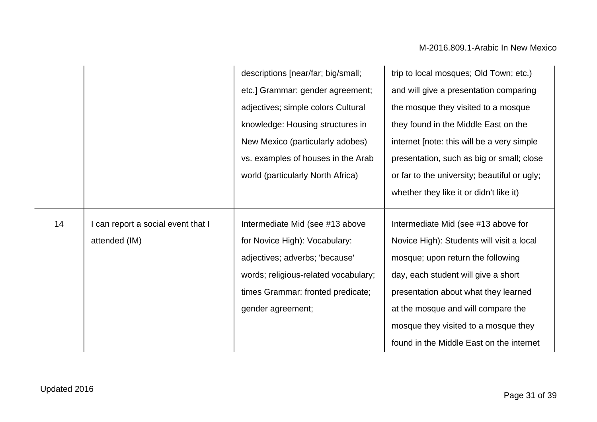|    |                                                   | descriptions [near/far; big/small;<br>etc.] Grammar: gender agreement;<br>adjectives; simple colors Cultural<br>knowledge: Housing structures in<br>New Mexico (particularly adobes)<br>vs. examples of houses in the Arab<br>world (particularly North Africa) | trip to local mosques; Old Town; etc.)<br>and will give a presentation comparing<br>the mosque they visited to a mosque<br>they found in the Middle East on the<br>internet [note: this will be a very simple<br>presentation, such as big or small; close<br>or far to the university; beautiful or ugly;<br>whether they like it or didn't like it) |
|----|---------------------------------------------------|-----------------------------------------------------------------------------------------------------------------------------------------------------------------------------------------------------------------------------------------------------------------|-------------------------------------------------------------------------------------------------------------------------------------------------------------------------------------------------------------------------------------------------------------------------------------------------------------------------------------------------------|
| 14 | can report a social event that I<br>attended (IM) | Intermediate Mid (see #13 above<br>for Novice High): Vocabulary:<br>adjectives; adverbs; 'because'<br>words; religious-related vocabulary;<br>times Grammar: fronted predicate;<br>gender agreement;                                                            | Intermediate Mid (see #13 above for<br>Novice High): Students will visit a local<br>mosque; upon return the following<br>day, each student will give a short<br>presentation about what they learned<br>at the mosque and will compare the<br>mosque they visited to a mosque they<br>found in the Middle East on the internet                        |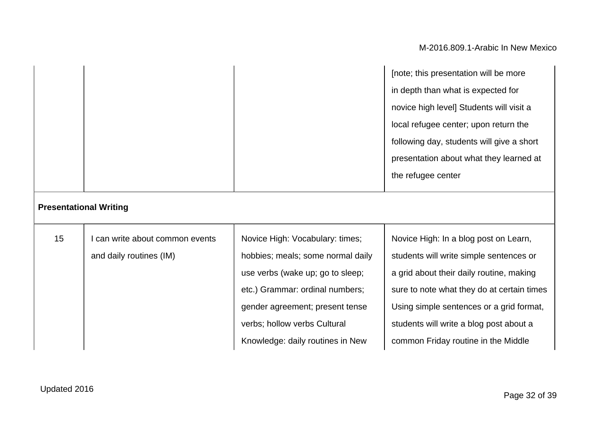|                               |                               |                                   | [note; this presentation will be more     |
|-------------------------------|-------------------------------|-----------------------------------|-------------------------------------------|
|                               |                               |                                   | in depth than what is expected for        |
|                               |                               |                                   | novice high level] Students will visit a  |
|                               |                               |                                   | local refugee center; upon return the     |
|                               |                               |                                   | following day, students will give a short |
|                               |                               |                                   | presentation about what they learned at   |
|                               |                               |                                   | the refugee center                        |
| <b>Presentational Writing</b> |                               |                                   |                                           |
| 15                            | can write about common events | Novice High: Vocabulary: times;   | Novice High: In a blog post on Learn,     |
|                               | and daily routines (IM)       | hobbies; meals; some normal daily | students will write simple sentences or   |
|                               |                               | use verbs (wake up; go to sleep;  | a grid about their daily routine, making  |
|                               |                               | etc.) Grammar: ordinal numbers;   | sure to note what they do at certain time |

gender agreement; present tense

verbs; hollow verbs Cultural Knowledge: daily routines in New

sure to note what they do at certain times Using simple sentences or a grid format, students will write a blog post about a common Friday routine in the Middle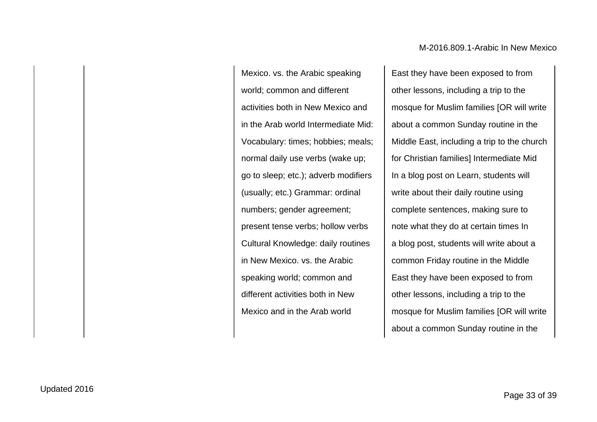Mexico. vs. the Arabic speaking world; common and different activities both in New Mexico and in the Arab world Intermediate Mid: Vocabulary: times; hobbies; meals; normal daily use verbs (wake up; go to sleep; etc.); adverb modifiers (usually; etc.) Grammar: ordinal numbers; gender agreement; present tense verbs; hollow verbs Cultural Knowledge: daily routines in New Mexico. vs. the Arabic speaking world; common and different activities both in New Mexico and in the Arab world

East they have been exposed to from other lessons, including a trip to the mosque for Muslim families [OR will write about a common Sunday routine in the Middle East, including a trip to the church for Christian families] Intermediate Mid In a blog post on Learn, students will write about their daily routine using complete sentences, making sure to note what they do at certain times In a blog post, students will write about a common Friday routine in the Middle East they have been exposed to from other lessons, including a trip to the mosque for Muslim families [OR will write about a common Sunday routine in the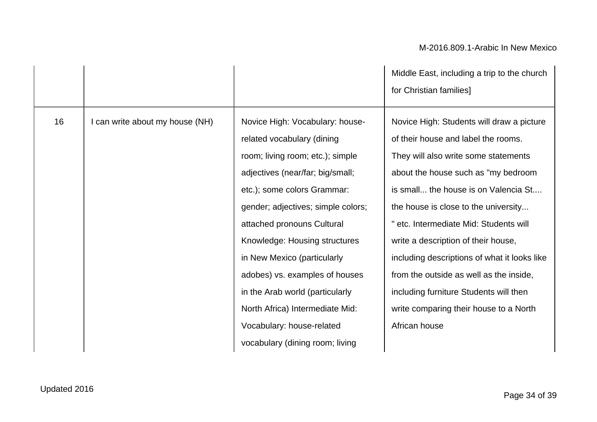|    |                                 |                                                                                                                                                                                                                                                                                                                                                                                                                                                                                  | Middle East, including a trip to the church<br>for Christian families]                                                                                                                                                                                                                                                                                                                                                                                                                                                           |
|----|---------------------------------|----------------------------------------------------------------------------------------------------------------------------------------------------------------------------------------------------------------------------------------------------------------------------------------------------------------------------------------------------------------------------------------------------------------------------------------------------------------------------------|----------------------------------------------------------------------------------------------------------------------------------------------------------------------------------------------------------------------------------------------------------------------------------------------------------------------------------------------------------------------------------------------------------------------------------------------------------------------------------------------------------------------------------|
| 16 | I can write about my house (NH) | Novice High: Vocabulary: house-<br>related vocabulary (dining<br>room; living room; etc.); simple<br>adjectives (near/far; big/small;<br>etc.); some colors Grammar:<br>gender; adjectives; simple colors;<br>attached pronouns Cultural<br>Knowledge: Housing structures<br>in New Mexico (particularly<br>adobes) vs. examples of houses<br>in the Arab world (particularly<br>North Africa) Intermediate Mid:<br>Vocabulary: house-related<br>vocabulary (dining room; living | Novice High: Students will draw a picture<br>of their house and label the rooms.<br>They will also write some statements<br>about the house such as "my bedroom<br>is small the house is on Valencia St<br>the house is close to the university<br>" etc. Intermediate Mid: Students will<br>write a description of their house,<br>including descriptions of what it looks like<br>from the outside as well as the inside,<br>including furniture Students will then<br>write comparing their house to a North<br>African house |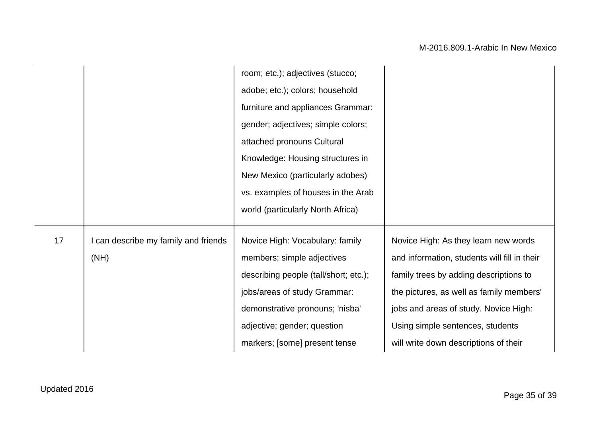|    |                                              | room; etc.); adjectives (stucco;<br>adobe; etc.); colors; household<br>furniture and appliances Grammar:<br>gender; adjectives; simple colors;<br>attached pronouns Cultural<br>Knowledge: Housing structures in<br>New Mexico (particularly adobes)<br>vs. examples of houses in the Arab |                                                                                                                                                                                                                                                                                                  |
|----|----------------------------------------------|--------------------------------------------------------------------------------------------------------------------------------------------------------------------------------------------------------------------------------------------------------------------------------------------|--------------------------------------------------------------------------------------------------------------------------------------------------------------------------------------------------------------------------------------------------------------------------------------------------|
| 17 | I can describe my family and friends<br>(NH) | world (particularly North Africa)<br>Novice High: Vocabulary: family<br>members; simple adjectives<br>describing people (tall/short; etc.);<br>jobs/areas of study Grammar:<br>demonstrative pronouns; 'nisba'<br>adjective; gender; question<br>markers; [some] present tense             | Novice High: As they learn new words<br>and information, students will fill in their<br>family trees by adding descriptions to<br>the pictures, as well as family members'<br>jobs and areas of study. Novice High:<br>Using simple sentences, students<br>will write down descriptions of their |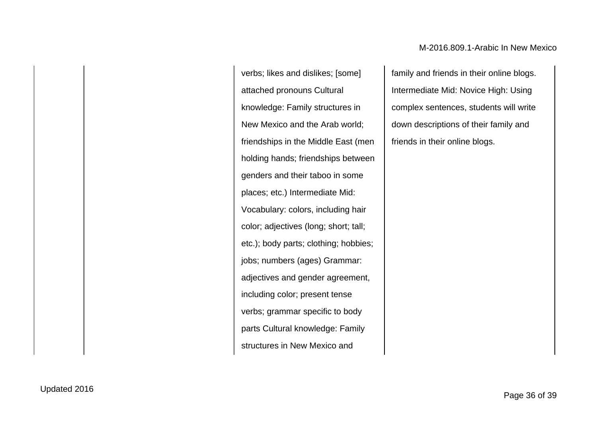verbs; likes and dislikes; [some] attached pronouns Cultural knowledge: Family structures in New Mexico and the Arab world; friendships in the Middle East (men holding hands; friendships between genders and their taboo in some places; etc.) Intermediate Mid: Vocabulary: colors, including hair color; adjectives (long; short; tall; etc.); body parts; clothing; hobbies; jobs; numbers (ages) Grammar: adjectives and gender agreement, including color; present tense verbs; grammar specific to body parts Cultural knowledge: Family structures in New Mexico and

family and friends in their online blogs. Intermediate Mid: Novice High: Using complex sentences, students will write down descriptions of their family and friends in their online blogs.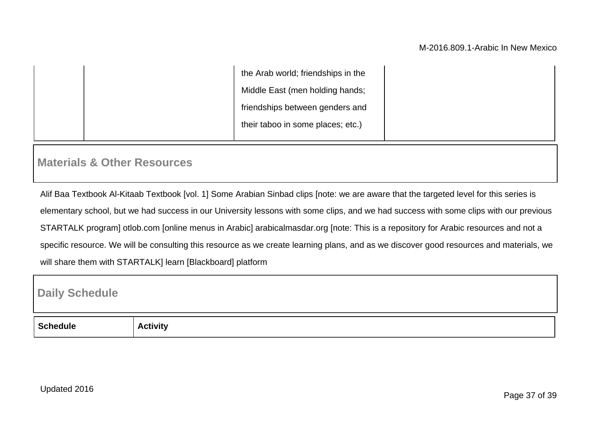| the Arab world; friendships in the |
|------------------------------------|
| Middle East (men holding hands;    |
| friendships between genders and    |
| their taboo in some places; etc.)  |

### **Materials & Other Resources**

Alif Baa Textbook Al-Kitaab Textbook [vol. 1] Some Arabian Sinbad clips [note: we are aware that the targeted level for this series is elementary school, but we had success in our University lessons with some clips, and we had success with some clips with our previous STARTALK program] otlob.com [online menus in Arabic] arabicalmasdar.org [note: This is a repository for Arabic resources and not a specific resource. We will be consulting this resource as we create learning plans, and as we discover good resources and materials, we will share them with STARTALK] learn [Blackboard] platform

### **Daily Schedule**

| - |  |
|---|--|
| . |  |
|   |  |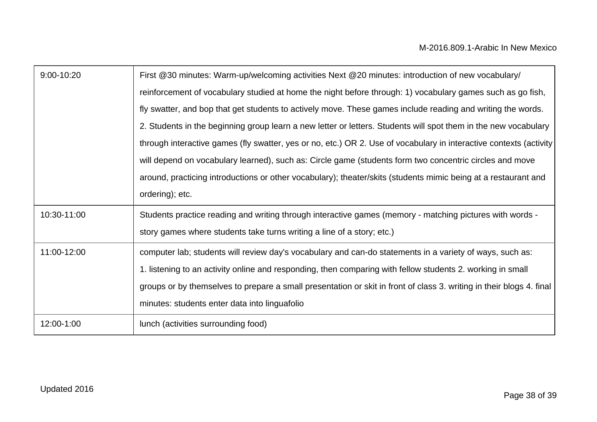| 9:00-10:20  | First @30 minutes: Warm-up/welcoming activities Next @20 minutes: introduction of new vocabulary/                    |
|-------------|----------------------------------------------------------------------------------------------------------------------|
|             | reinforcement of vocabulary studied at home the night before through: 1) vocabulary games such as go fish,           |
|             | fly swatter, and bop that get students to actively move. These games include reading and writing the words.          |
|             | 2. Students in the beginning group learn a new letter or letters. Students will spot them in the new vocabulary      |
|             | through interactive games (fly swatter, yes or no, etc.) OR 2. Use of vocabulary in interactive contexts (activity   |
|             | will depend on vocabulary learned), such as: Circle game (students form two concentric circles and move              |
|             | around, practicing introductions or other vocabulary); theater/skits (students mimic being at a restaurant and       |
|             | ordering); etc.                                                                                                      |
| 10:30-11:00 | Students practice reading and writing through interactive games (memory - matching pictures with words -             |
|             | story games where students take turns writing a line of a story; etc.)                                               |
| 11:00-12:00 | computer lab; students will review day's vocabulary and can-do statements in a variety of ways, such as:             |
|             | 1. listening to an activity online and responding, then comparing with fellow students 2. working in small           |
|             | groups or by themselves to prepare a small presentation or skit in front of class 3. writing in their blogs 4. final |
|             | minutes: students enter data into linguafolio                                                                        |
| 12:00-1:00  | lunch (activities surrounding food)                                                                                  |